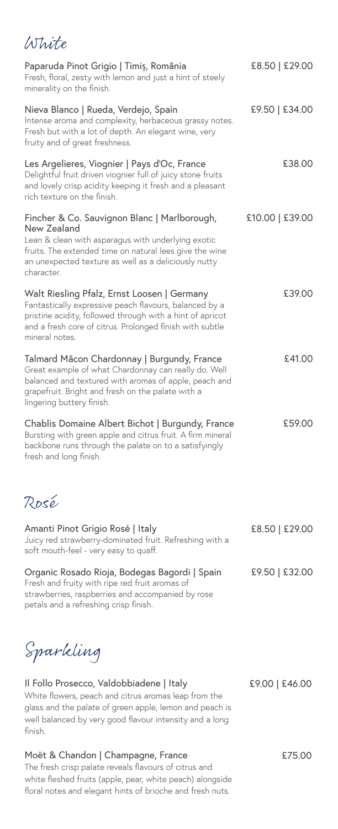## White

| Paparuda Pinot Grigio   Timiș, România<br>Fresh, floral, zesty with lemon and just a hint of steely<br>minerality on the finish.                                                                                                                   | £8.50   £29.00  |
|----------------------------------------------------------------------------------------------------------------------------------------------------------------------------------------------------------------------------------------------------|-----------------|
| Nieva Blanco   Rueda, Verdejo, Spain<br>Intense aroma and complexity, herbaceous grassy notes.<br>Fresh but with a lot of depth. An elegant wine, very<br>fruity and of great freshness.                                                           | £9.50   £34.00  |
| Les Argelieres, Viognier   Pays d'Oc, France<br>Delightful fruit driven viognier full of juicy stone fruits<br>and lovely crisp acidity keeping it fresh and a pleasant<br>rich texture on the finish.                                             | £38.00          |
| Fincher & Co. Sauvignon Blanc   Marlborough,<br>New Zealand<br>Lean & clean with asparagus with underlying exotic<br>fruits. The extended time on natural lees give the wine<br>an unexpected texture as well as a deliciously nutty<br>character. | £10.00   £39.00 |
| Walt Riesling Pfalz, Ernst Loosen   Germany<br>Fantastically expressive peach flavours, balanced by a<br>pristine acidity, followed through with a hint of apricot<br>and a fresh core of citrus. Prolonged finish with subtle<br>mineral notes.   | £39.00          |
| Talmard Mâcon Chardonnay   Burgundy, France<br>Great example of what Chardonnay can really do. Well<br>balanced and textured with aromas of apple, peach and<br>grapefruit. Bright and fresh on the palate with a<br>lingering buttery finish.     | £41.00          |
| Chablis Domaine Albert Bichot   Burgundy, France<br>Bursting with green apple and citrus fruit. A firm mineral<br>backbone runs through the palate on to a satisfyingly<br>fresh and long finish.                                                  | £59.00          |
| Rosé                                                                                                                                                                                                                                               |                 |
| Amanti Pinot Grigio Rosé   Italy<br>Juicy red strawberry-dominated fruit. Refreshing with a<br>soft mouth-feel - very easy to quaff.                                                                                                               | £8.50   £29.00  |
| Organic Rosado Rioja, Bodegas Bagordi   Spain<br>Fresh and fruity with ripe red fruit aromas of<br>strawberries, raspberries and accompanied by rose<br>petals and a refreshing crisp finish.                                                      | £9.50   £32.00  |
| Sparkling                                                                                                                                                                                                                                          |                 |
| Il Follo Prosecco, Valdobbiadene   Italy<br>White flowers, peach and citrus aromas leap from the<br>glass and the palate of green apple, lemon and peach is<br>well balanced by very good flavour intensity and a long<br>finish.                  | £9.00   £46.00  |
| Moët & Chandon   Champagne, France<br>The fresh crisp palate reveals flavours of citrus and<br>white fleshed fruits (apple, pear, white peach) alongside                                                                                           | £75.00          |

floral notes and elegant hints of brioche and fresh nuts.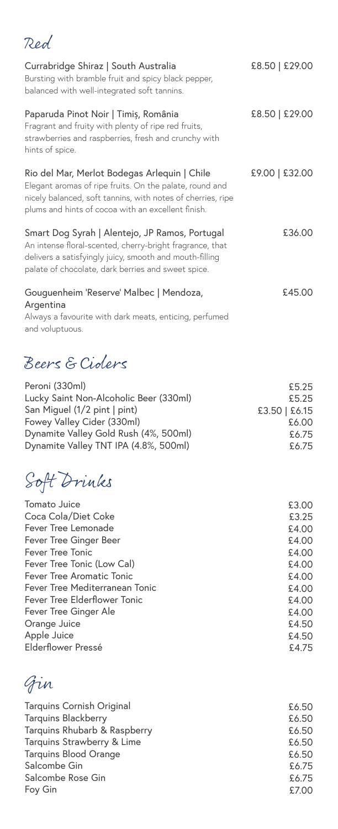## Red

| Currabridge Shiraz   South Australia<br>Bursting with bramble fruit and spicy black pepper,<br>balanced with well-integrated soft tannins.                                                                                   | £8.50   £29.00 |
|------------------------------------------------------------------------------------------------------------------------------------------------------------------------------------------------------------------------------|----------------|
| Paparuda Pinot Noir   Timiș, România<br>Fragrant and fruity with plenty of ripe red fruits,<br>strawberries and raspberries, fresh and crunchy with<br>hints of spice.                                                       | £8.50   £29.00 |
| Rio del Mar, Merlot Bodegas Arlequin   Chile<br>Elegant aromas of ripe fruits. On the palate, round and<br>nicely balanced, soft tannins, with notes of cherries, ripe<br>plums and hints of cocoa with an excellent finish. | £9.00   £32.00 |
| Smart Dog Syrah   Alentejo, JP Ramos, Portugal<br>An intense floral-scented, cherry-bright fragrance, that<br>delivers a satisfyingly juicy, smooth and mouth-filling<br>palate of chocolate, dark berries and sweet spice.  | £36.00         |
| Gouguenheim 'Reserve' Malbec   Mendoza,<br>Argentina<br>Always a favourite with dark meats, enticing, perfumed<br>and voluptuous.                                                                                            | £45.00         |

## Beers & Ciders

| Peroni (330ml)                         | £5.25           |
|----------------------------------------|-----------------|
| Lucky Saint Non-Alcoholic Beer (330ml) | £5.25           |
| San Miquel (1/2 pint   pint)           | $£3.50$ $E6.15$ |
| Fowey Valley Cider (330ml)             | £6.00           |
| Dynamite Valley Gold Rush (4%, 500ml)  | £6.75           |
| Dynamite Valley TNT IPA (4.8%, 500ml)  | £6.75           |

Soft Drinks

| £3.00 |
|-------|
| £3.25 |
| £4.00 |
| £4.00 |
| £4.00 |
| £4.00 |
| £4.00 |
| £4.00 |
| £4.00 |
| £4.00 |
| £4.50 |
| £4.50 |
| £4.75 |
|       |

Gin

| Tarquins Cornish Original    | £6.50 |
|------------------------------|-------|
| <b>Tarquins Blackberry</b>   | £6.50 |
| Tarquins Rhubarb & Raspberry | £6.50 |
| Tarquins Strawberry & Lime   | £6.50 |
| <b>Tarquins Blood Orange</b> | £6.50 |
| Salcombe Gin                 | £6.75 |
| Salcombe Rose Gin            | £6.75 |
| Foy Gin                      | £7.00 |
|                              |       |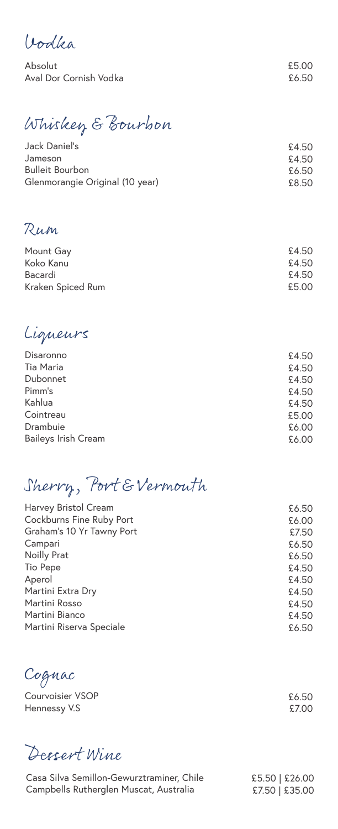Vodka

Absolut Aval Dor Cornish Vodka

£5.00 £6.50

Whiskey & Bourbon

| Jack Daniel's                   | £4.50 |
|---------------------------------|-------|
| Jameson                         | £4.50 |
| <b>Bulleit Bourbon</b>          | £6.50 |
| Glenmorangie Original (10 year) | £8.50 |
|                                 |       |

Rum

| Mount Gay         | £4.50 |
|-------------------|-------|
|                   |       |
| Koko Kanu         | £4.50 |
| Bacardi           | £4.50 |
| Kraken Spiced Rum | £5.00 |
|                   |       |

Liqueurs

| Disaronno                  | £4.50 |
|----------------------------|-------|
| Tia Maria                  | £4.50 |
| Dubonnet                   | £4.50 |
| Pimm's                     | £4.50 |
| Kahlua                     | £4.50 |
| Cointreau                  | £5.00 |
| Drambuie                   | £6.00 |
| <b>Baileys Irish Cream</b> | £6.00 |

Sherry, Port & Vermouth

| Harvey Bristol Cream      | £6.50 |
|---------------------------|-------|
| Cockburns Fine Ruby Port  | £6.00 |
| Graham's 10 Yr Tawny Port | £7.50 |
| Campari                   | £6.50 |
| Noilly Prat               | £6.50 |
| Tio Pepe                  | £4.50 |
| Aperol                    | £4.50 |
| Martini Extra Dry         | £4.50 |
| Martini Rosso             | £4.50 |
| Martini Bianco            | £4.50 |
| Martini Riserva Speciale  | £6.50 |
|                           |       |

Cognac

Courvoisier VSOP Hennessy V.S

Dessert Wine

Casa Silva Semillon-Gewurztraminer, Chile Campbells Rutherglen Muscat, Australia

£5.50 | £26.00 £7.50 | £35.00

£6.50 £7.00